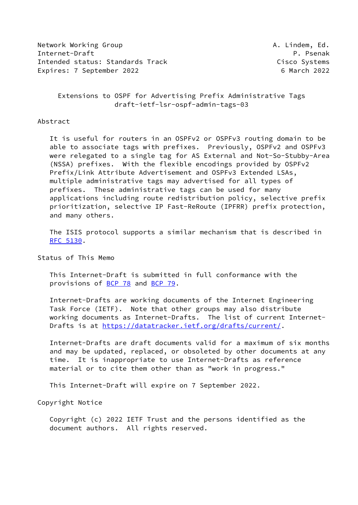Network Working Group **A. Lindem, Ed.** A. Lindem, Ed. Internet-Draft P. Psenak Intended status: Standards Track Cisco Systems Expires: 7 September 2022 **6 March 2022** 

 Extensions to OSPF for Advertising Prefix Administrative Tags draft-ietf-lsr-ospf-admin-tags-03

Abstract

 It is useful for routers in an OSPFv2 or OSPFv3 routing domain to be able to associate tags with prefixes. Previously, OSPFv2 and OSPFv3 were relegated to a single tag for AS External and Not-So-Stubby-Area (NSSA) prefixes. With the flexible encodings provided by OSPFv2 Prefix/Link Attribute Advertisement and OSPFv3 Extended LSAs, multiple administrative tags may advertised for all types of prefixes. These administrative tags can be used for many applications including route redistribution policy, selective prefix prioritization, selective IP Fast-ReRoute (IPFRR) prefix protection, and many others.

 The ISIS protocol supports a similar mechanism that is described in [RFC 5130](https://datatracker.ietf.org/doc/pdf/rfc5130).

Status of This Memo

 This Internet-Draft is submitted in full conformance with the provisions of [BCP 78](https://datatracker.ietf.org/doc/pdf/bcp78) and [BCP 79](https://datatracker.ietf.org/doc/pdf/bcp79).

 Internet-Drafts are working documents of the Internet Engineering Task Force (IETF). Note that other groups may also distribute working documents as Internet-Drafts. The list of current Internet- Drafts is at<https://datatracker.ietf.org/drafts/current/>.

 Internet-Drafts are draft documents valid for a maximum of six months and may be updated, replaced, or obsoleted by other documents at any time. It is inappropriate to use Internet-Drafts as reference material or to cite them other than as "work in progress."

This Internet-Draft will expire on 7 September 2022.

Copyright Notice

 Copyright (c) 2022 IETF Trust and the persons identified as the document authors. All rights reserved.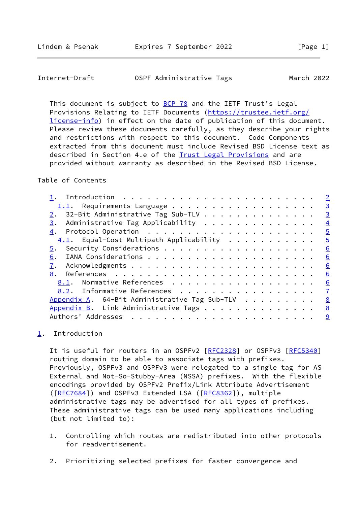<span id="page-1-1"></span>

| Internet-Draft | OSPF Administrative Tags | March 2022 |
|----------------|--------------------------|------------|
|----------------|--------------------------|------------|

This document is subject to [BCP 78](https://datatracker.ietf.org/doc/pdf/bcp78) and the IETF Trust's Legal Provisions Relating to IETF Documents ([https://trustee.ietf.org/](https://trustee.ietf.org/license-info) [license-info](https://trustee.ietf.org/license-info)) in effect on the date of publication of this document. Please review these documents carefully, as they describe your rights and restrictions with respect to this document. Code Components extracted from this document must include Revised BSD License text as described in Section 4.e of the [Trust Legal Provisions](https://trustee.ietf.org/license-info) and are provided without warranty as described in the Revised BSD License.

### Table of Contents

|                                               | $\overline{2}$ |
|-----------------------------------------------|----------------|
| $1.1$ . Requirements Language                 | $\overline{3}$ |
| 32-Bit Administrative Tag Sub-TLV<br>2.       | $\overline{3}$ |
| Administrative Tag Applicability<br>3.        | $\overline{4}$ |
|                                               | $\overline{5}$ |
| $4.1$ . Equal-Cost Multipath Applicability    | $\overline{5}$ |
|                                               | 6              |
| 6.                                            | 6              |
| 7.                                            | 6              |
| 8.                                            | 6              |
| 8.1. Normative References                     | 6              |
| 8.2. Informative References                   | $\mathbf{Z}$   |
| Appendix A. 64-Bit Administrative Tag Sub-TLV | 8              |
| Appendix B. Link Administrative Tags          | 8              |
| Authors' Addresses                            | 9              |
|                                               |                |

## <span id="page-1-0"></span>[1](#page-1-0). Introduction

It is useful for routers in an OSPFv2 [[RFC2328](https://datatracker.ietf.org/doc/pdf/rfc2328)] or OSPFv3 [[RFC5340](https://datatracker.ietf.org/doc/pdf/rfc5340)] routing domain to be able to associate tags with prefixes. Previously, OSPFv3 and OSPFv3 were relegated to a single tag for AS External and Not-So-Stubby-Area (NSSA) prefixes. With the flexible encodings provided by OSPFv2 Prefix/Link Attribute Advertisement ([\[RFC7684](https://datatracker.ietf.org/doc/pdf/rfc7684)]) and OSPFv3 Extended LSA ([\[RFC8362](https://datatracker.ietf.org/doc/pdf/rfc8362)]), multiple administrative tags may be advertised for all types of prefixes. These administrative tags can be used many applications including (but not limited to):

- 1. Controlling which routes are redistributed into other protocols for readvertisement.
- 2. Prioritizing selected prefixes for faster convergence and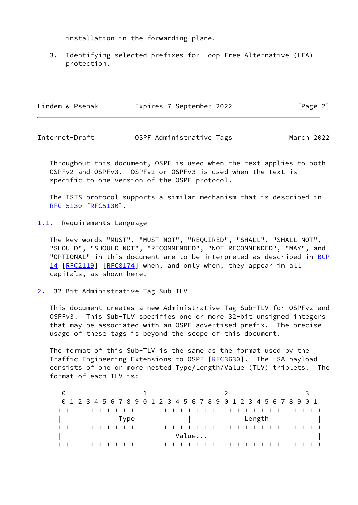installation in the forwarding plane.

 3. Identifying selected prefixes for Loop-Free Alternative (LFA) protection.

| Lindem & Psenak | Expires 7 September 2022 | [Page 2] |
|-----------------|--------------------------|----------|
|                 |                          |          |

<span id="page-2-1"></span>Internet-Draft OSPF Administrative Tags March 2022

 Throughout this document, OSPF is used when the text applies to both OSPFv2 and OSPFv3. OSPFv2 or OSPFv3 is used when the text is specific to one version of the OSPF protocol.

 The ISIS protocol supports a similar mechanism that is described in [RFC 5130](https://datatracker.ietf.org/doc/pdf/rfc5130) [\[RFC5130](https://datatracker.ietf.org/doc/pdf/rfc5130)].

<span id="page-2-0"></span>[1.1](#page-2-0). Requirements Language

 The key words "MUST", "MUST NOT", "REQUIRED", "SHALL", "SHALL NOT", "SHOULD", "SHOULD NOT", "RECOMMENDED", "NOT RECOMMENDED", "MAY", and "OPTIONAL" in this document are to be interpreted as described in [BCP](https://datatracker.ietf.org/doc/pdf/bcp14) [14](https://datatracker.ietf.org/doc/pdf/bcp14) [[RFC2119\]](https://datatracker.ietf.org/doc/pdf/rfc2119) [\[RFC8174](https://datatracker.ietf.org/doc/pdf/rfc8174)] when, and only when, they appear in all capitals, as shown here.

<span id="page-2-2"></span>[2](#page-2-2). 32-Bit Administrative Tag Sub-TLV

 This document creates a new Administrative Tag Sub-TLV for OSPFv2 and OSPFv3. This Sub-TLV specifies one or more 32-bit unsigned integers that may be associated with an OSPF advertised prefix. The precise usage of these tags is beyond the scope of this document.

 The format of this Sub-TLV is the same as the format used by the Traffic Engineering Extensions to OSPF [\[RFC3630](https://datatracker.ietf.org/doc/pdf/rfc3630)]. The LSA payload consists of one or more nested Type/Length/Value (TLV) triplets. The format of each TLV is:

|  | 0 1 2 3 4 5 6 7 8 9 0 1 2 3 4 5 6 7 8 9 0 1 2 3 4 5 6 7 8 9 0 1 |  |  |      |  |  |  |  |       |  |  |        |  |  |  |  |
|--|-----------------------------------------------------------------|--|--|------|--|--|--|--|-------|--|--|--------|--|--|--|--|
|  |                                                                 |  |  |      |  |  |  |  |       |  |  |        |  |  |  |  |
|  |                                                                 |  |  | Type |  |  |  |  |       |  |  | Length |  |  |  |  |
|  |                                                                 |  |  |      |  |  |  |  |       |  |  |        |  |  |  |  |
|  |                                                                 |  |  |      |  |  |  |  | Value |  |  |        |  |  |  |  |
|  |                                                                 |  |  |      |  |  |  |  |       |  |  |        |  |  |  |  |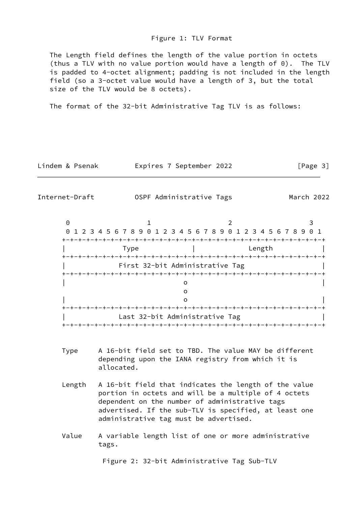#### Figure 1: TLV Format

 The Length field defines the length of the value portion in octets (thus a TLV with no value portion would have a length of 0). The TLV is padded to 4-octet alignment; padding is not included in the length field (so a 3-octet value would have a length of 3, but the total size of the TLV would be 8 octets).

The format of the 32-bit Administrative Tag TLV is as follows:

| Lindem & Psenak |  |
|-----------------|--|
|-----------------|--|

Expires 7 September 2022 [Page 3]

<span id="page-3-0"></span>Internet-Draft OSPF Administrative Tags March 2022

| 0 1 2 3 4 5 6 7 8 9 0 1 2 3 4 5 6 7 8 9 0 1 2 3 4 5 6 7 8 9 0 1 |                                 |        |  |
|-----------------------------------------------------------------|---------------------------------|--------|--|
|                                                                 | -+-+-+-+-+-+-+-+-+-+-+-+-+-+    |        |  |
| Type                                                            |                                 | Length |  |
|                                                                 |                                 |        |  |
| First 32-bit Administrative Tag                                 |                                 |        |  |
|                                                                 |                                 |        |  |
|                                                                 |                                 |        |  |
|                                                                 |                                 |        |  |
|                                                                 |                                 |        |  |
|                                                                 |                                 |        |  |
| Last 32-bit Administrative Tag                                  |                                 |        |  |
|                                                                 | +-+-+-+-+-+-+-+-+-+-+-+-+-+-+-+ |        |  |

- Type A 16-bit field set to TBD. The value MAY be different depending upon the IANA registry from which it is allocated.
- Length A 16-bit field that indicates the length of the value portion in octets and will be a multiple of 4 octets dependent on the number of administrative tags advertised. If the sub-TLV is specified, at least one administrative tag must be advertised.
- Value A variable length list of one or more administrative tags.

Figure 2: 32-bit Administrative Tag Sub-TLV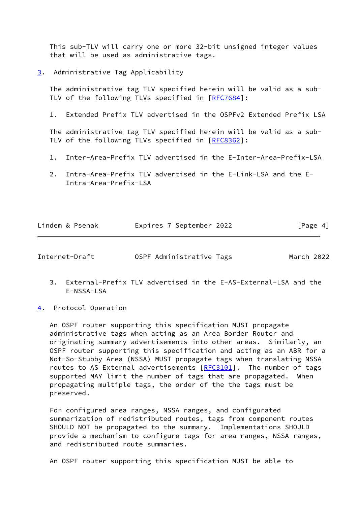This sub-TLV will carry one or more 32-bit unsigned integer values that will be used as administrative tags.

<span id="page-4-0"></span>[3](#page-4-0). Administrative Tag Applicability

 The administrative tag TLV specified herein will be valid as a sub- TLV of the following TLVs specified in [\[RFC7684](https://datatracker.ietf.org/doc/pdf/rfc7684)]:

1. Extended Prefix TLV advertised in the OSPFv2 Extended Prefix LSA

 The administrative tag TLV specified herein will be valid as a sub- TLV of the following TLVs specified in [\[RFC8362](https://datatracker.ietf.org/doc/pdf/rfc8362)]:

- 1. Inter-Area-Prefix TLV advertised in the E-Inter-Area-Prefix-LSA
- 2. Intra-Area-Prefix TLV advertised in the E-Link-LSA and the E- Intra-Area-Prefix-LSA

|  | Lindem & Psenak | Expires 7 September 2022 | [Page 4] |
|--|-----------------|--------------------------|----------|
|--|-----------------|--------------------------|----------|

<span id="page-4-2"></span>Internet-Draft OSPF Administrative Tags March 2022

- 3. External-Prefix TLV advertised in the E-AS-External-LSA and the E-NSSA-LSA
- <span id="page-4-1"></span>[4](#page-4-1). Protocol Operation

 An OSPF router supporting this specification MUST propagate administrative tags when acting as an Area Border Router and originating summary advertisements into other areas. Similarly, an OSPF router supporting this specification and acting as an ABR for a Not-So-Stubby Area (NSSA) MUST propagate tags when translating NSSA routes to AS External advertisements [\[RFC3101](https://datatracker.ietf.org/doc/pdf/rfc3101)]. The number of tags supported MAY limit the number of tags that are propagated. When propagating multiple tags, the order of the the tags must be preserved.

 For configured area ranges, NSSA ranges, and configurated summarization of redistributed routes, tags from component routes SHOULD NOT be propagated to the summary. Implementations SHOULD provide a mechanism to configure tags for area ranges, NSSA ranges, and redistributed route summaries.

An OSPF router supporting this specification MUST be able to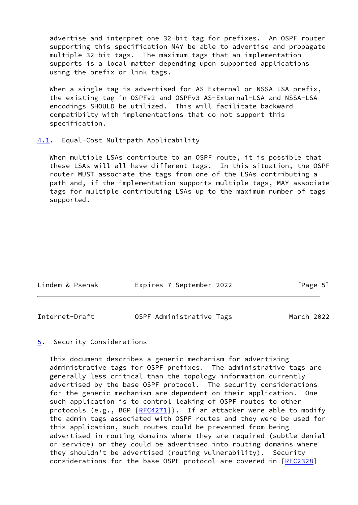advertise and interpret one 32-bit tag for prefixes. An OSPF router supporting this specification MAY be able to advertise and propagate multiple 32-bit tags. The maximum tags that an implementation supports is a local matter depending upon supported applications using the prefix or link tags.

When a single tag is advertised for AS External or NSSA LSA prefix. the existing tag in OSPFv2 and OSPFv3 AS-External-LSA and NSSA-LSA encodings SHOULD be utilized. This will facilitate backward compatibilty with implementations that do not support this specification.

#### <span id="page-5-0"></span>[4.1](#page-5-0). Equal-Cost Multipath Applicability

 When multiple LSAs contribute to an OSPF route, it is possible that these LSAs will all have different tags. In this situation, the OSPF router MUST associate the tags from one of the LSAs contributing a path and, if the implementation supports multiple tags, MAY associate tags for multiple contributing LSAs up to the maximum number of tags supported.

| Lindem & Psenak | Expires 7 September 2022 | [Page 5] |
|-----------------|--------------------------|----------|
|                 |                          |          |

# <span id="page-5-2"></span>Internet-Draft OSPF Administrative Tags March 2022

## <span id="page-5-1"></span>[5](#page-5-1). Security Considerations

 This document describes a generic mechanism for advertising administrative tags for OSPF prefixes. The administrative tags are generally less critical than the topology information currently advertised by the base OSPF protocol. The security considerations for the generic mechanism are dependent on their application. One such application is to control leaking of OSPF routes to other protocols (e.g., BGP [\[RFC4271](https://datatracker.ietf.org/doc/pdf/rfc4271)]). If an attacker were able to modify the admin tags associated with OSPF routes and they were be used for this application, such routes could be prevented from being advertised in routing domains where they are required (subtle denial or service) or they could be advertised into routing domains where they shouldn't be advertised (routing vulnerability). Security considerations for the base OSPF protocol are covered in [\[RFC2328](https://datatracker.ietf.org/doc/pdf/rfc2328)]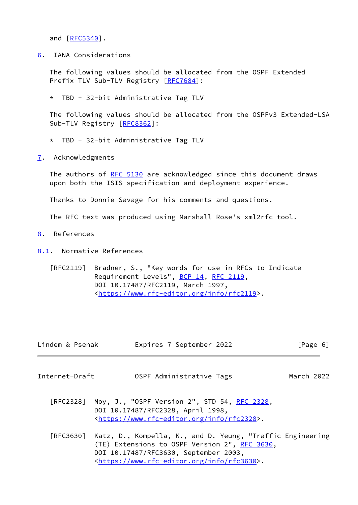and [\[RFC5340](https://datatracker.ietf.org/doc/pdf/rfc5340)].

<span id="page-6-0"></span>[6](#page-6-0). IANA Considerations

 The following values should be allocated from the OSPF Extended Prefix TLV Sub-TLV Registry [\[RFC7684](https://datatracker.ietf.org/doc/pdf/rfc7684)]:

\* TBD - 32-bit Administrative Tag TLV

 The following values should be allocated from the OSPFv3 Extended-LSA Sub-TLV Registry [\[RFC8362](https://datatracker.ietf.org/doc/pdf/rfc8362)]:

- \* TBD 32-bit Administrative Tag TLV
- <span id="page-6-1"></span>[7](#page-6-1). Acknowledgments

The authors of [RFC 5130](https://datatracker.ietf.org/doc/pdf/rfc5130) are acknowledged since this document draws upon both the ISIS specification and deployment experience.

Thanks to Donnie Savage for his comments and questions.

The RFC text was produced using Marshall Rose's xml2rfc tool.

- <span id="page-6-2"></span>[8](#page-6-2). References
- <span id="page-6-3"></span>[8.1](#page-6-3). Normative References
	- [RFC2119] Bradner, S., "Key words for use in RFCs to Indicate Requirement Levels", [BCP 14](https://datatracker.ietf.org/doc/pdf/bcp14), [RFC 2119](https://datatracker.ietf.org/doc/pdf/rfc2119), DOI 10.17487/RFC2119, March 1997, <[https://www.rfc-editor.org/info/rfc2119>](https://www.rfc-editor.org/info/rfc2119).

<span id="page-6-4"></span>

| Lindem & Psenak | Expires 7 September 2022                                                                                                                                                                                            | [Page 6]   |
|-----------------|---------------------------------------------------------------------------------------------------------------------------------------------------------------------------------------------------------------------|------------|
| Internet-Draft  | OSPF Administrative Tags                                                                                                                                                                                            | March 2022 |
|                 | [RFC2328] Moy, J., "OSPF Version 2", STD 54, <u>RFC 2328</u> ,<br>DOI 10.17487/RFC2328, April 1998,<br><https: info="" rfc2328="" www.rfc-editor.org="">.</https:>                                                  |            |
| [RFC3630]       | Katz, D., Kompella, K., and D. Yeung, "Traffic Engineering<br>(TE) Extensions to OSPF Version 2", RFC 3630,<br>DOI 10.17487/RFC3630, September 2003,<br><https: info="" rfc3630="" www.rfc-editor.org="">.</https:> |            |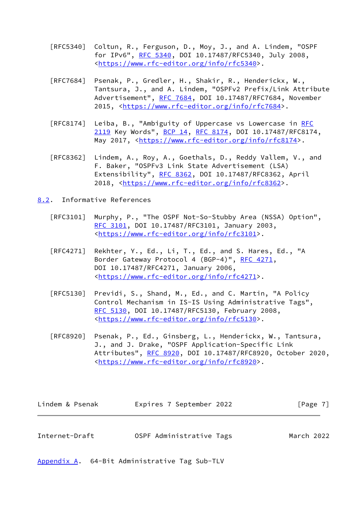- [RFC5340] Coltun, R., Ferguson, D., Moy, J., and A. Lindem, "OSPF for IPv6", [RFC 5340](https://datatracker.ietf.org/doc/pdf/rfc5340), DOI 10.17487/RFC5340, July 2008, <[https://www.rfc-editor.org/info/rfc5340>](https://www.rfc-editor.org/info/rfc5340).
- [RFC7684] Psenak, P., Gredler, H., Shakir, R., Henderickx, W., Tantsura, J., and A. Lindem, "OSPFv2 Prefix/Link Attribute Advertisement", [RFC 7684,](https://datatracker.ietf.org/doc/pdf/rfc7684) DOI 10.17487/RFC7684, November 2015, [<https://www.rfc-editor.org/info/rfc7684](https://www.rfc-editor.org/info/rfc7684)>.
- [RFC8174] Leiba, B., "Ambiguity of Uppercase vs Lowercase in [RFC](https://datatracker.ietf.org/doc/pdf/rfc2119) [2119](https://datatracker.ietf.org/doc/pdf/rfc2119) Key Words", [BCP 14](https://datatracker.ietf.org/doc/pdf/bcp14), [RFC 8174,](https://datatracker.ietf.org/doc/pdf/rfc8174) DOI 10.17487/RFC8174, May 2017, [<https://www.rfc-editor.org/info/rfc8174](https://www.rfc-editor.org/info/rfc8174)>.
- [RFC8362] Lindem, A., Roy, A., Goethals, D., Reddy Vallem, V., and F. Baker, "OSPFv3 Link State Advertisement (LSA) Extensibility", [RFC 8362,](https://datatracker.ietf.org/doc/pdf/rfc8362) DOI 10.17487/RFC8362, April 2018, [<https://www.rfc-editor.org/info/rfc8362](https://www.rfc-editor.org/info/rfc8362)>.
- <span id="page-7-0"></span>[8.2](#page-7-0). Informative References
	- [RFC3101] Murphy, P., "The OSPF Not-So-Stubby Area (NSSA) Option", [RFC 3101,](https://datatracker.ietf.org/doc/pdf/rfc3101) DOI 10.17487/RFC3101, January 2003, <[https://www.rfc-editor.org/info/rfc3101>](https://www.rfc-editor.org/info/rfc3101).
	- [RFC4271] Rekhter, Y., Ed., Li, T., Ed., and S. Hares, Ed., "A Border Gateway Protocol 4 (BGP-4)", [RFC 4271,](https://datatracker.ietf.org/doc/pdf/rfc4271) DOI 10.17487/RFC4271, January 2006, <[https://www.rfc-editor.org/info/rfc4271>](https://www.rfc-editor.org/info/rfc4271).
	- [RFC5130] Previdi, S., Shand, M., Ed., and C. Martin, "A Policy Control Mechanism in IS-IS Using Administrative Tags", [RFC 5130,](https://datatracker.ietf.org/doc/pdf/rfc5130) DOI 10.17487/RFC5130, February 2008, <[https://www.rfc-editor.org/info/rfc5130>](https://www.rfc-editor.org/info/rfc5130).
	- [RFC8920] Psenak, P., Ed., Ginsberg, L., Henderickx, W., Tantsura, J., and J. Drake, "OSPF Application-Specific Link Attributes", [RFC 8920](https://datatracker.ietf.org/doc/pdf/rfc8920), DOI 10.17487/RFC8920, October 2020, <[https://www.rfc-editor.org/info/rfc8920>](https://www.rfc-editor.org/info/rfc8920).

<span id="page-7-2"></span>

| Lindem & Psenak | Expires 7 September 2022 | $\lceil \text{Page } 7 \rceil$ |
|-----------------|--------------------------|--------------------------------|
|                 |                          |                                |
| Internet-Draft  | OSPF Administrative Tags | March 2022                     |

<span id="page-7-1"></span>[Appendix A.](#page-7-1) 64-Bit Administrative Tag Sub-TLV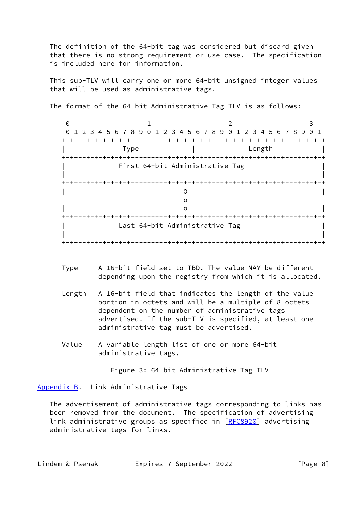The definition of the 64-bit tag was considered but discard given that there is no strong requirement or use case. The specification is included here for information.

 This sub-TLV will carry one or more 64-bit unsigned integer values that will be used as administrative tags.

The format of the 64-bit Administrative Tag TLV is as follows:

0 1 2 3 0 1 2 3 4 5 6 7 8 9 0 1 2 3 4 5 6 7 8 9 0 1 2 3 4 5 6 7 8 9 0 1 +-+-+-+-+-+-+-+-+-+-+-+-+-+-+-+-+-+-+-+-+-+-+-+-+-+-+-+-+-+-+-+-+ | Type | Length | +-+-+-+-+-+-+-+-+-+-+-+-+-+-+-+-+-+-+-+-+-+-+-+-+-+-+-+-+-+-+-+-+ | First 64-bit Administrative Tag | | | +-+-+-+-+-+-+-+-+-+-+-+-+-+-+-+-+-+-+-+-+-+-+-+-+-+-+-+-+-+-+-+-+ | O | of the contract of the contract of the contract of the contract of the contract of the contract of the contract of the contract of the contract of the contract of the contract of the contract of the contract of the contrac | o | +-+-+-+-+-+-+-+-+-+-+-+-+-+-+-+-+-+-+-+-+-+-+-+-+-+-+-+-+-+-+-+-+ Last 64-bit Administrative Tag | | +-+-+-+-+-+-+-+-+-+-+-+-+-+-+-+-+-+-+-+-+-+-+-+-+-+-+-+-+-+-+-+-+

- Type A 16-bit field set to TBD. The value MAY be different depending upon the registry from which it is allocated.
- Length A 16-bit field that indicates the length of the value portion in octets and will be a multiple of 8 octets dependent on the number of administrative tags advertised. If the sub-TLV is specified, at least one administrative tag must be advertised.
- Value A variable length list of one or more 64-bit administrative tags.

Figure 3: 64-bit Administrative Tag TLV

<span id="page-8-0"></span>[Appendix B.](#page-8-0) Link Administrative Tags

 The advertisement of administrative tags corresponding to links has been removed from the document. The specification of advertising link administrative groups as specified in [[RFC8920\]](https://datatracker.ietf.org/doc/pdf/rfc8920) advertising administrative tags for links.